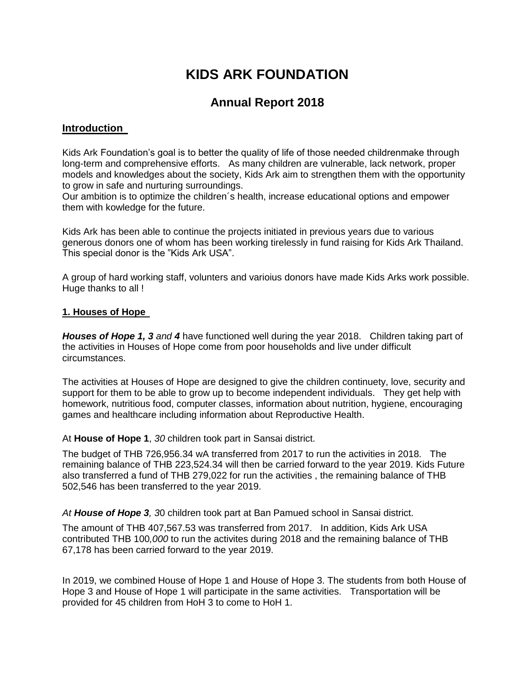# **KIDS ARK FOUNDATION**

# **Annual Report 2018**

#### **Introduction**

Kids Ark Foundation's goal is to better the quality of life of those needed childrenmake through long-term and comprehensive efforts. As many children are vulnerable, lack network, proper models and knowledges about the society, Kids Ark aim to strengthen them with the opportunity to grow in safe and nurturing surroundings.

Our ambition is to optimize the children´s health, increase educational options and empower them with kowledge for the future.

Kids Ark has been able to continue the projects initiated in previous years due to various generous donors one of whom has been working tirelessly in fund raising for Kids Ark Thailand. This special donor is the "Kids Ark USA".

A group of hard working staff, volunters and varioius donors have made Kids Arks work possible. Huge thanks to all !

#### **1. Houses of Hope**

*Houses of Hope 1, 3 and 4* have functioned well during the year 2018. Children taking part of the activities in Houses of Hope come from poor households and live under difficult circumstances.

The activities at Houses of Hope are designed to give the children continuety, love, security and support for them to be able to grow up to become independent individuals. They get help with homework, nutritious food, computer classes, information about nutrition, hygiene, encouraging games and healthcare including information about Reproductive Health.

At **House of Hope 1**, *30* children took part in Sansai district.

The budget of THB 726,956.34 wA transferred from 2017 to run the activities in 2018. The remaining balance of THB 223,524.34 will then be carried forward to the year 2019. Kids Future also transferred a fund of THB 279,022 for run the activities , the remaining balance of THB 502,546 has been transferred to the year 2019.

*At House of Hope 3, 3*0 children took part at Ban Pamued school in Sansai district.

The amount of THB 407,567.53 was transferred from 2017. In addition, Kids Ark USA contributed THB 100*,000* to run the activites during 2018 and the remaining balance of THB 67,178 has been carried forward to the year 2019.

In 2019, we combined House of Hope 1 and House of Hope 3. The students from both House of Hope 3 and House of Hope 1 will participate in the same activities. Transportation will be provided for 45 children from HoH 3 to come to HoH 1.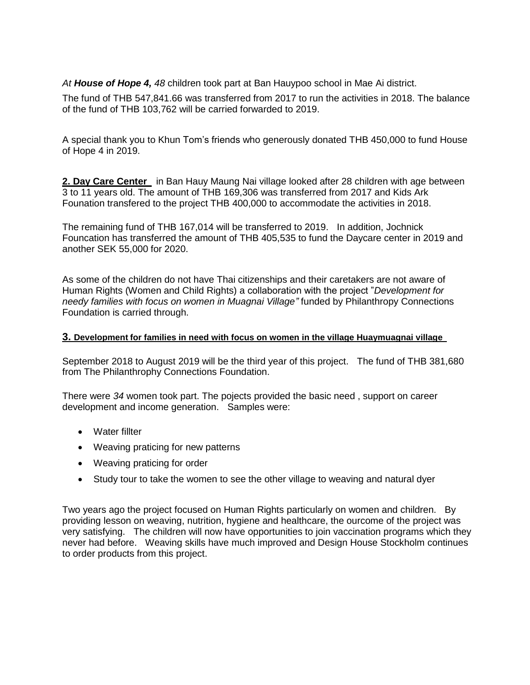*At House of Hope 4, 48* children took part at Ban Hauypoo school in Mae Ai district.

The fund of THB 547,841.66 was transferred from 2017 to run the activities in 2018. The balance of the fund of THB 103,762 will be carried forwarded to 2019.

A special thank you to Khun Tom's friends who generously donated THB 450,000 to fund House of Hope 4 in 2019.

**2. Day Care Center** in Ban Hauy Maung Nai village looked after 28 children with age between 3 to 11 years old. The amount of THB 169,306 was transferred from 2017 and Kids Ark Founation transfered to the project THB 400,000 to accommodate the activities in 2018.

The remaining fund of THB 167,014 will be transferred to 2019. In addition, Jochnick Founcation has transferred the amount of THB 405,535 to fund the Daycare center in 2019 and another SEK 55,000 for 2020.

As some of the children do not have Thai citizenships and their caretakers are not aware of Human Rights (Women and Child Rights) a collaboration with the project "*Development for needy families with focus on women in Muagnai Village"* funded by Philanthropy Connections Foundation is carried through.

#### **3. Development for families in need with focus on women in the village Huaymuagnai village**

September 2018 to August 2019 will be the third year of this project. The fund of THB 381,680 from The Philanthrophy Connections Foundation.

There were *34* women took part. The pojects provided the basic need , support on career development and income generation. Samples were:

- Water fillter
- Weaving praticing for new patterns
- Weaving praticing for order
- Study tour to take the women to see the other village to weaving and natural dyer

Two years ago the project focused on Human Rights particularly on women and children. By providing lesson on weaving, nutrition, hygiene and healthcare, the ourcome of the project was very satisfying. The children will now have opportunities to join vaccination programs which they never had before. Weaving skills have much improved and Design House Stockholm continues to order products from this project.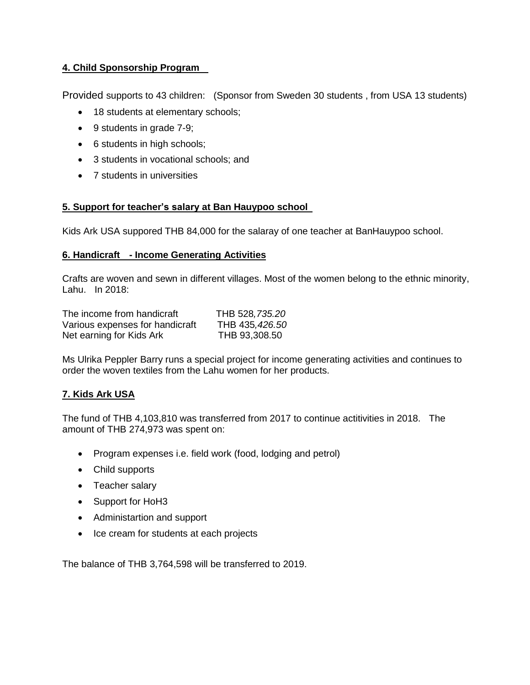## **4. Child Sponsorship Program**

Provided supports to 43 children: (Sponsor from Sweden 30 students , from USA 13 students)

- 18 students at elementary schools;
- 9 students in grade 7-9;
- 6 students in high schools;
- 3 students in vocational schools; and
- 7 students in universities

#### **5. Support for teacher's salary at Ban Hauypoo school**

Kids Ark USA suppored THB 84,000 for the salaray of one teacher at BanHauypoo school.

#### **6. Handicraft - Income Generating Activities**

Crafts are woven and sewn in different villages. Most of the women belong to the ethnic minority, Lahu. In 2018:

| The income from handicraft      | THB 528, 735.20 |
|---------------------------------|-----------------|
| Various expenses for handicraft | THB 435,426.50  |
| Net earning for Kids Ark        | THB 93,308.50   |

Ms Ulrika Peppler Barry runs a special project for income generating activities and continues to order the woven textiles from the Lahu women for her products.

## **7. Kids Ark USA**

The fund of THB 4,103,810 was transferred from 2017 to continue actitivities in 2018. The amount of THB 274,973 was spent on:

- Program expenses i.e. field work (food, lodging and petrol)
- Child supports
- Teacher salary
- Support for HoH3
- Administartion and support
- Ice cream for students at each projects

The balance of THB 3,764,598 will be transferred to 2019.